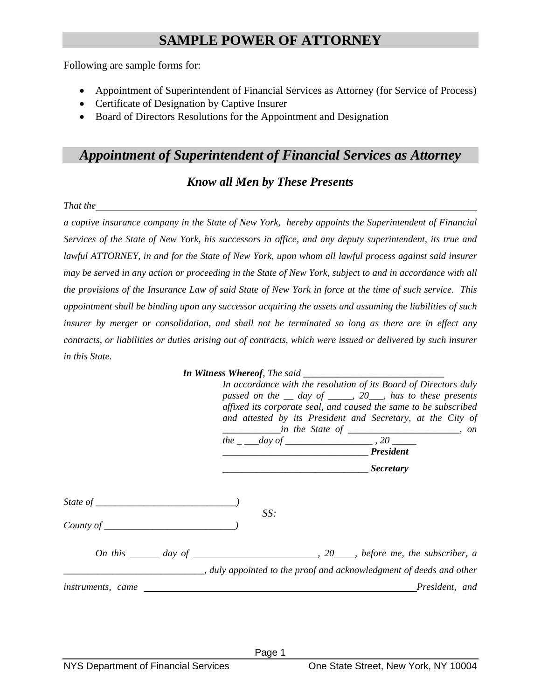## **SAMPLE POWER OF ATTORNEY**

Following are sample forms for:

- Appointment of Superintendent of Financial Services as Attorney (for Service of Process)
- Certificate of Designation by Captive Insurer
- Board of Directors Resolutions for the Appointment and Designation

## *Appointment of Superintendent of Financial Services as Attorney*

## *Know all Men by These Presents*

*That the* 1

*a captive insurance company in the State of New York, hereby appoints the Superintendent of Financial Services of the State of New York, his successors in office, and any deputy superintendent, its true and lawful ATTORNEY, in and for the State of New York, upon whom all lawful process against said insurer may be served in any action or proceeding in the State of New York, subject to and in accordance with all the provisions of the Insurance Law of said State of New York in force at the time of such service. This appointment shall be binding upon any successor acquiring the assets and assuming the liabilities of such insurer by merger or consolidation, and shall not be terminated so long as there are in effect any contracts, or liabilities or duties arising out of contracts, which were issued or delivered by such insurer in this State.* 

|                          | In accordance with the resolution of its Board of Directors duly<br>passed on the $\equiv$ day of $\equiv$ 20, has to these presents<br>affixed its corporate seal, and caused the same to be subscribed<br>and attested by its President and Secretary, at the City of |                                                                      |
|--------------------------|-------------------------------------------------------------------------------------------------------------------------------------------------------------------------------------------------------------------------------------------------------------------------|----------------------------------------------------------------------|
|                          |                                                                                                                                                                                                                                                                         |                                                                      |
|                          |                                                                                                                                                                                                                                                                         |                                                                      |
|                          |                                                                                                                                                                                                                                                                         | Secretary Secretary                                                  |
|                          | SS:                                                                                                                                                                                                                                                                     |                                                                      |
|                          |                                                                                                                                                                                                                                                                         |                                                                      |
|                          |                                                                                                                                                                                                                                                                         | _, duly appointed to the proof and acknowledgment of deeds and other |
| <i>instruments, came</i> |                                                                                                                                                                                                                                                                         | President, and                                                       |
|                          |                                                                                                                                                                                                                                                                         |                                                                      |